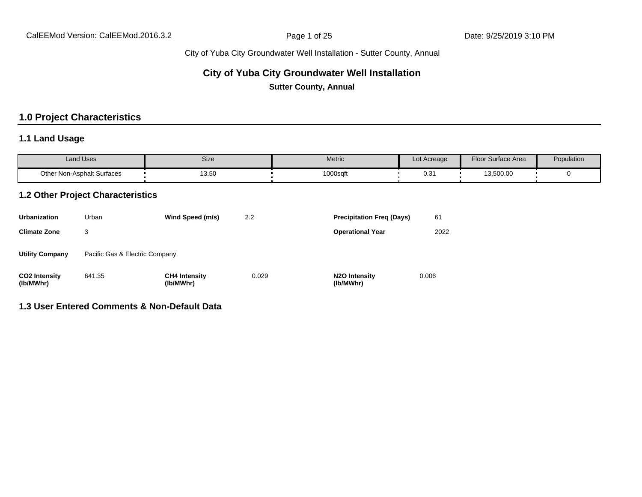## **City of Yuba City Groundwater Well Installation**

**Sutter County, Annual**

## **1.0 Project Characteristics**

### **1.1 Land Usage**

| <b>Land Uses</b>           | Size  | Metric   | Lot Acreage | Floor Surface Area | Population |
|----------------------------|-------|----------|-------------|--------------------|------------|
| Other Non-Asphalt Surfaces | 13.50 | 1000sqft | U.S         | 13,500.00          |            |

#### **1.2 Other Project Characteristics**

| <b>Urbanization</b>               | Urban                          | Wind Speed (m/s)                  | 2.2   | <b>Precipitation Freq (Days)</b>        | 61    |
|-----------------------------------|--------------------------------|-----------------------------------|-------|-----------------------------------------|-------|
| <b>Climate Zone</b>               | 3                              |                                   |       | <b>Operational Year</b>                 | 2022  |
| <b>Utility Company</b>            | Pacific Gas & Electric Company |                                   |       |                                         |       |
| <b>CO2 Intensity</b><br>(lb/MWhr) | 641.35                         | <b>CH4 Intensity</b><br>(lb/MWhr) | 0.029 | N <sub>2</sub> O Intensity<br>(lb/MWhr) | 0.006 |

#### **1.3 User Entered Comments & Non-Default Data**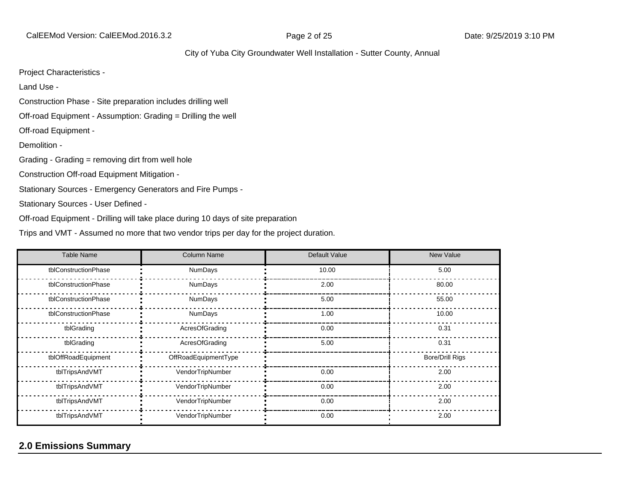CalEEMod Version: CalEEMod.2016.3.2 **Page 2 of 25** Page 2 of 25 Date: 9/25/2019 3:10 PM

#### City of Yuba City Groundwater Well Installation - Sutter County, Annual

Project Characteristics -

Land Use -

Construction Phase - Site preparation includes drilling well

Off-road Equipment - Assumption: Grading = Drilling the well

Off-road Equipment -

Demolition -

Grading - Grading = removing dirt from well hole

Construction Off-road Equipment Mitigation -

Stationary Sources - Emergency Generators and Fire Pumps -

Stationary Sources - User Defined -

Off-road Equipment - Drilling will take place during 10 days of site preparation

Trips and VMT - Assumed no more that two vendor trips per day for the project duration.

| <b>Table Name</b>    | <b>Column Name</b>   | Default Value | New Value              |
|----------------------|----------------------|---------------|------------------------|
| tblConstructionPhase | NumDays              | 10.00         | 5.00                   |
| tblConstructionPhase | NumDays              | 2.00          | 80.00                  |
| tblConstructionPhase | NumDays              | 5.00          | 55.00                  |
| tblConstructionPhase | NumDays              | 1.00          | 10.00                  |
| tblGrading           | AcresOfGrading       | 0.00          | 0.31                   |
| tblGrading           | AcresOfGrading       | 5.00          | 0.31                   |
| tblOffRoadEquipment  | OffRoadEquipmentType |               | <b>Bore/Drill Rigs</b> |
| tblTripsAndVMT       | VendorTripNumber     | 0.00          | 2.00                   |
| tblTripsAndVMT       | VendorTripNumber     | 0.00          | 2.00                   |
| tblTripsAndVMT       | VendorTripNumber     | 0.00          | 2.00                   |
| tblTripsAndVMT       | VendorTripNumber     | 0.00          | 2.00                   |

## **2.0 Emissions Summary**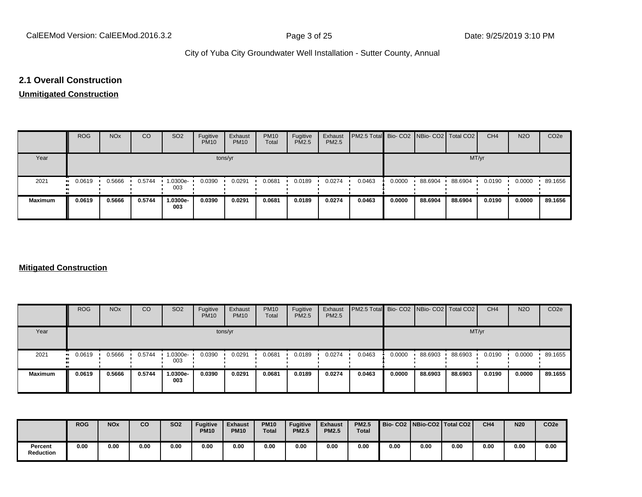#### **2.1 Overall Construction**

## **Unmitigated Construction**

|                | <b>ROG</b>            | <b>NO<sub>x</sub></b> | CO     | SO <sub>2</sub> | Fugitive<br><b>PM10</b> | Exhaust<br><b>PM10</b> | <b>PM10</b><br>Total | Fugitive<br><b>PM2.5</b> | Exhaust<br>PM2.5 | PM2.5 Total Bio- CO2 NBio- CO2 Total CO2 |        |         |         | CH <sub>4</sub> | <b>N2O</b> | CO <sub>2e</sub> |
|----------------|-----------------------|-----------------------|--------|-----------------|-------------------------|------------------------|----------------------|--------------------------|------------------|------------------------------------------|--------|---------|---------|-----------------|------------|------------------|
| Year           |                       |                       |        |                 |                         | tons/yr                |                      |                          |                  |                                          |        |         | MT/yr   |                 |            |                  |
| 2021           | $\blacksquare$ 0.0619 | 0.5666                | 0.5744 | 1.0300e-<br>003 | 0.0390                  | 0.0291                 | 0.0681               | 0.0189                   | 0.0274           | 0.0463                                   | 0.0000 | 88.6904 | 88.6904 | 0.0190          | 0.0000     | 89.1656          |
| <b>Maximum</b> | 0.0619                | 0.5666                | 0.5744 | 1.0300e-<br>003 | 0.0390                  | 0.0291                 | 0.0681               | 0.0189                   | 0.0274           | 0.0463                                   | 0.0000 | 88.6904 | 88.6904 | 0.0190          | 0.0000     | 89.1656          |

#### **Mitigated Construction**

|                | <b>ROG</b>                 | <b>NO<sub>x</sub></b> | CO     | SO <sub>2</sub> | Fugitive<br><b>PM10</b> | Exhaust<br><b>PM10</b> | <b>PM10</b><br>Total | Fugitive<br><b>PM2.5</b> | Exhaust<br>PM2.5 | <b>PM2.5 Total</b> Bio- CO2 NBio- CO2 Total CO2 |        |         |         | CH <sub>4</sub> | <b>N2O</b> | CO <sub>2e</sub> |
|----------------|----------------------------|-----------------------|--------|-----------------|-------------------------|------------------------|----------------------|--------------------------|------------------|-------------------------------------------------|--------|---------|---------|-----------------|------------|------------------|
| Year           |                            |                       |        |                 |                         | tons/yr                |                      |                          |                  |                                                 |        |         | MT/yr   |                 |            |                  |
| 2021           | 0.0619<br>$\bullet\bullet$ | 0.5666                | 0.5744 | .0300e-<br>003  | 0.0390                  | 0.0291                 | 0.0681               | 0.0189                   | 0.0274           | 0.0463                                          | 0.0000 | 88.6903 | 88.6903 | 0.0190          | 0.0000     | 89.1655          |
| <b>Maximum</b> | 0.0619                     | 0.5666                | 0.5744 | 1.0300e-<br>003 | 0.0390                  | 0.0291                 | 0.0681               | 0.0189                   | 0.0274           | 0.0463                                          | 0.0000 | 88.6903 | 88.6903 | 0.0190          | 0.0000     | 89.1655          |

|                             | <b>ROG</b> | <b>NO<sub>x</sub></b> | CO   | <b>SO2</b> | <b>Fugitive</b><br><b>PM10</b> | <b>Exhaust</b><br><b>PM10</b> | <b>PM10</b><br><b>Total</b> | <b>Fugitive</b><br><b>PM2.5</b> | <b>Exhaust</b><br><b>PM2.5</b> | <b>PM2.5</b><br><b>Total</b> |      |      | Bio-CO2 NBio-CO2 Total CO2 | CH <sub>4</sub> | <b>N20</b> | CO <sub>2e</sub> |
|-----------------------------|------------|-----------------------|------|------------|--------------------------------|-------------------------------|-----------------------------|---------------------------------|--------------------------------|------------------------------|------|------|----------------------------|-----------------|------------|------------------|
| Percent<br><b>Reduction</b> | 0.00       | 0.00                  | 0.00 | 0.00       | 0.00                           | 0.00                          | 0.00                        | 0.00                            | 0.00                           | 0.00                         | 0.00 | 0.00 | 0.00                       | 0.00            | 0.00       | 0.00             |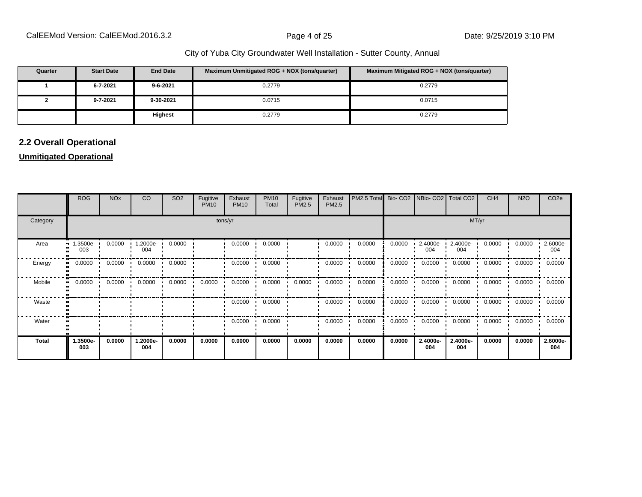| Quarter | <b>Start Date</b> | <b>End Date</b> | Maximum Unmitigated ROG + NOX (tons/quarter) | Maximum Mitigated ROG + NOX (tons/quarter) |
|---------|-------------------|-----------------|----------------------------------------------|--------------------------------------------|
|         | 6-7-2021          | $9 - 6 - 2021$  | 0.2779                                       | 0.2779                                     |
|         | 9-7-2021          | 9-30-2021       | 0.0715                                       | 0.0715                                     |
|         |                   | Highest         | 0.2779                                       | 0.2779                                     |

## **2.2 Overall Operational**

### **Unmitigated Operational**

|              | <b>ROG</b>          | <b>NO<sub>x</sub></b> | CO              | SO <sub>2</sub> | Fugitive<br><b>PM10</b> | Exhaust<br><b>PM10</b> | <b>PM10</b><br>Total | Fugitive<br>PM2.5 | Exhaust<br>PM2.5 | PM2.5 Total |        |                 | Bio- CO2   NBio- CO2   Total CO2 | CH <sub>4</sub> | <b>N2O</b> | CO <sub>2e</sub> |
|--------------|---------------------|-----------------------|-----------------|-----------------|-------------------------|------------------------|----------------------|-------------------|------------------|-------------|--------|-----------------|----------------------------------|-----------------|------------|------------------|
| Category     |                     | tons/yr               |                 |                 |                         |                        |                      |                   |                  |             |        |                 | MT/yr                            |                 |            |                  |
| Area         | 1.3500e-<br><br>003 | 0.0000                | 1.2000e-<br>004 | 0.0000          |                         | 0.0000                 | 0.0000               |                   | 0.0000           | 0.0000      | 0.0000 | 2.4000e-<br>004 | 2.4000e-<br>004                  | 0.0000          | 0.0000     | 2.6000e-<br>004  |
| Energy       | 0.0000<br>          | 0.0000                | 0.0000          | 0.0000          |                         | 0.0000                 | 0.0000               |                   | 0.0000           | 0.0000      | 0.0000 | 0.0000          | 0.0000                           | 0.0000          | 0.0000     | 0.0000           |
| Mobile       | 0.0000              | 0.0000                | 0.0000          | 0.0000          | 0.0000                  | 0.0000                 | 0.0000               | 0.0000            | 0.0000           | 0.0000      | 0.0000 | 0.0000          | 0.0000                           | 0.0000          | 0.0000     | 0.0000           |
| Waste        |                     |                       |                 |                 |                         | 0.0000                 | 0.0000               |                   | 0.0000           | 0.0000      | 0.0000 | 0.0000          | 0.0000                           | 0.0000          | 0.0000     | 0.0000           |
| Water        |                     |                       |                 |                 |                         | 0.0000                 | 0.0000               |                   | 0.0000           | 0.0000      | 0.0000 | 0.0000          | 0.0000                           | 0.0000          | 0.0000     | 0.0000           |
| <b>Total</b> | 1.3500e-<br>003     | 0.0000                | 1.2000e-<br>004 | 0.0000          | 0.0000                  | 0.0000                 | 0.0000               | 0.0000            | 0.0000           | 0.0000      | 0.0000 | 2.4000e-<br>004 | 2.4000e-<br>004                  | 0.0000          | 0.0000     | 2.6000e-<br>004  |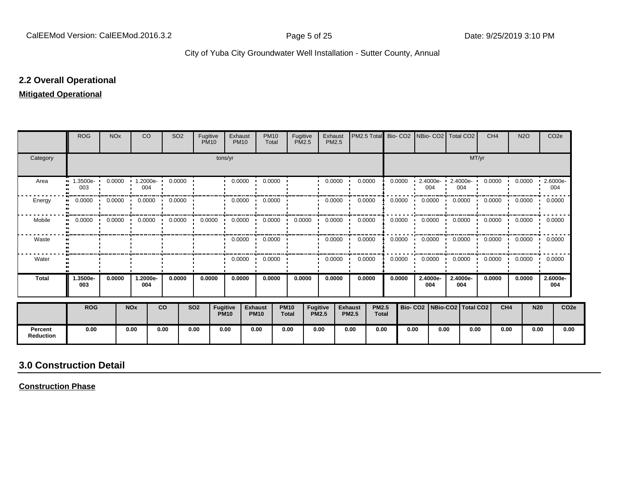#### **2.2 Overall Operational**

#### **Mitigated Operational**

|                             | <b>ROG</b>      | <b>NO<sub>x</sub></b> | CO                                              |             | SO <sub>2</sub> | Fugitive<br><b>PM10</b> |                                | Exhaust<br><b>PM10</b> | <b>PM10</b><br>Total          |                             | Fugitive<br><b>PM2.5</b>        | Exhaust<br><b>PM2.5</b> |                                | PM2.5 Total                  | Bio-CO <sub>2</sub> |                                 | NBio- CO2   Total CO2   |                 |       | CH <sub>4</sub> | <b>N2O</b>                 |            | CO <sub>2</sub> e |
|-----------------------------|-----------------|-----------------------|-------------------------------------------------|-------------|-----------------|-------------------------|--------------------------------|------------------------|-------------------------------|-----------------------------|---------------------------------|-------------------------|--------------------------------|------------------------------|---------------------|---------------------------------|-------------------------|-----------------|-------|-----------------|----------------------------|------------|-------------------|
| Category                    |                 |                       |                                                 |             |                 |                         | tons/yr                        |                        |                               |                             |                                 |                         |                                |                              |                     |                                 |                         |                 | MT/yr |                 |                            |            |                   |
| Area                        | 1.3500e-<br>003 | 0.0000                | 004                                             | $1.2000e -$ | 0.0000          |                         |                                | 0.0000                 | 0.0000                        |                             |                                 | 0.0000                  |                                | 0.0000                       | 0.0000              |                                 | $2.4000e -$<br>004      | 2.4000e-<br>004 |       | 0.0000          | 0.0000                     |            | 2.6000e-<br>004   |
| Energy                      | 0.0000          | 0.0000                | 0.0000                                          |             | 0.0000          |                         |                                | 0.0000                 | 0.0000                        |                             |                                 | 0.0000                  |                                | 0.0000                       | 0.0000              |                                 | 0.0000                  | 0.0000          |       | 0.0000          | 0.0000                     | 0.0000     |                   |
| Mobile                      | 0.0000          |                       | $0.0000$ $\blacksquare$ $0.0000$ $\blacksquare$ |             | 0.0000          | 0.0000                  |                                | 0.0000                 | 0.0000<br>$\cdot$             |                             | 0.0000                          | 0.0000                  |                                | 0.0000                       | 0.0000              |                                 | $0.0000$ $\blacksquare$ | 0.0000          |       |                 | $0.0000$ $0.0000$ $0.0000$ |            |                   |
| Waste                       |                 |                       |                                                 |             |                 |                         |                                | $0.0000$ $\cdot$       | 0.0000                        |                             |                                 | 0.0000                  |                                | 0.0000                       | 0.0000              |                                 | 0.0000                  | 0.0000          |       |                 | $0.0000$ $0.0000$ $0.0000$ |            |                   |
| Water                       |                 |                       |                                                 |             |                 |                         |                                | 0.0000                 | 0.0000                        |                             |                                 | 0.0000                  |                                | 0.0000                       | 0.0000              |                                 | 0.0000                  | 0.0000          |       | 0.0000          | 0.0000                     |            | 0.0000            |
| <b>Total</b>                | 1.3500e-<br>003 | 0.0000                | 1.2000e-<br>004                                 |             | 0.0000          | 0.0000                  |                                | 0.0000                 | 0.0000                        |                             | 0.0000                          | 0.0000                  |                                | 0.0000                       | 0.0000              |                                 | 2.4000e-<br>004         | 2.4000e-<br>004 |       | 0.0000          | 0.0000                     |            | 2.6000e-<br>004   |
|                             | <b>ROG</b>      |                       | <b>NO<sub>x</sub></b>                           | <b>CO</b>   |                 | <b>SO2</b>              | <b>Fugitive</b><br><b>PM10</b> |                        | <b>Exhaust</b><br><b>PM10</b> | <b>PM10</b><br><b>Total</b> | <b>Fugitive</b><br><b>PM2.5</b> |                         | <b>Exhaust</b><br><b>PM2.5</b> | <b>PM2.5</b><br><b>Total</b> |                     | Bio- CO2   NBio-CO2   Total CO2 |                         |                 |       | CH <sub>4</sub> |                            | <b>N20</b> | CO <sub>2e</sub>  |
| Percent<br><b>Reduction</b> | 0.00            |                       | 0.00                                            | 0.00        |                 | 0.00                    | 0.00                           |                        | 0.00                          | 0.00                        | 0.00                            |                         | 0.00                           | 0.00                         |                     | 0.00                            | 0.00                    |                 | 0.00  | 0.00            |                            | 0.00       | 0.00              |

# **3.0 Construction Detail**

**Construction Phase**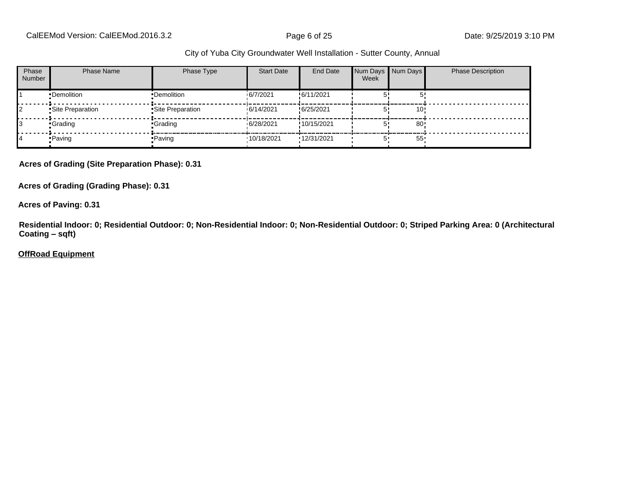CalEEMod Version: CalEEMod.2016.3.2 **Page 6 of 25** Page 6 of 25 Date: 9/25/2019 3:10 PM

#### City of Yuba City Groundwater Well Installation - Sutter County, Annual

| Phase<br><b>Number</b> | <b>Phase Name</b> | Phase Type        | <b>Start Date</b> | End Date    | Week | Num Days Num Days | <b>Phase Description</b> |
|------------------------|-------------------|-------------------|-------------------|-------------|------|-------------------|--------------------------|
|                        | •Demolition       | •Demolition       | 6/7/2021          | !6/11/2021  |      |                   |                          |
|                        | •Site Preparation | •Site Preparation | 16/14/2021        | !6/25/2021  |      | 10!               |                          |
|                        | •Grading          | •Grading          | 16/28/2021        | !10/15/2021 |      | 80                |                          |
|                        | • Paving          | • Paving          | '10/18/2021       | '12/31/2021 |      | 55 <sub>1</sub>   |                          |

**Acres of Grading (Site Preparation Phase): 0.31**

**Acres of Grading (Grading Phase): 0.31**

**Acres of Paving: 0.31**

**Residential Indoor: 0; Residential Outdoor: 0; Non-Residential Indoor: 0; Non-Residential Outdoor: 0; Striped Parking Area: 0 (Architectural Coating ±sqft)**

**OffRoad Equipment**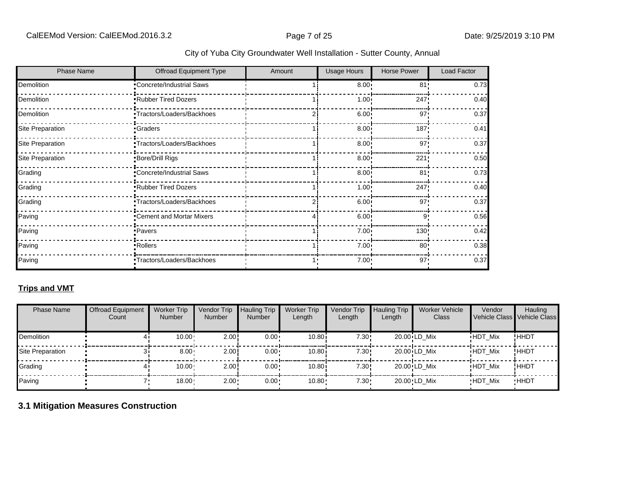|  |  | City of Yuba City Groundwater Well Installation - Sutter County, Annual |  |  |  |
|--|--|-------------------------------------------------------------------------|--|--|--|
|--|--|-------------------------------------------------------------------------|--|--|--|

| <b>Phase Name</b>       | Offroad Equipment Type    | Amount | <b>Usage Hours</b> | Horse Power     | Load Factor |
|-------------------------|---------------------------|--------|--------------------|-----------------|-------------|
| Demolition              | Concrete/Industrial Saws  |        | 8.00 <sup>1</sup>  | 81!             | 0.73        |
| Demolition              | Rubber Tired Dozers       |        | $1.00 \cdot$       | 247!            | 0.40        |
| Demolition              | Tractors/Loaders/Backhoes |        | 6.00               | 97'             | 0.37        |
| Site Preparation        | <b>Graders</b>            |        | 8.00               | 187'            | 0.41        |
| <b>Site Preparation</b> | Tractors/Loaders/Backhoes |        | $8.00 -$           | 97              | 0.37        |
| <b>Site Preparation</b> | Bore/Drill Rigs           |        | 8.00               | 221!            | 0.50        |
| Grading                 | Concrete/Industrial Saws  |        | $8.00 -$           | 81 <sup>1</sup> | 0.73        |
| Grading                 | Rubber Tired Dozers       |        | $1.00 -$           | 247:            | 0.40        |
| Grading                 | Tractors/Loaders/Backhoes |        | 6.00 <sub>1</sub>  | 97'             | 0.37        |
| Paving                  | Cement and Mortar Mixers  |        | 6.00               | 9'              | 0.56        |
| Paving                  | Pavers                    |        | $7.00 \cdot$       | 130!            | 0.42        |
| Paving                  | •Rollers                  |        | $7.00 \cdot$       | $80$ !          | 0.38        |
| Paving                  | Tractors/Loaders/Backhoes |        | 7.00:              | 97'             | 0.37        |

## **Trips and VMT**

| <b>Phase Name</b> | <b>Offroad Equipment</b><br>Count | <b>Worker Trip</b><br><b>Number</b> | Vendor Trip<br><b>Number</b> | <b>Hauling Trip</b><br><b>Number</b> | <b>Worker Trip</b><br>Length | Vendor Trip<br>Length | <b>Hauling Trip</b><br>Length | <b>Worker Vehicle</b><br>Class | Vendor         | <b>Hauling</b><br>Vehicle Class Vehicle Class |
|-------------------|-----------------------------------|-------------------------------------|------------------------------|--------------------------------------|------------------------------|-----------------------|-------------------------------|--------------------------------|----------------|-----------------------------------------------|
| <b>Demolition</b> |                                   | 10.00                               | 2.00                         | $0.00 \cdot$                         | 10.80i                       | 7.30!                 |                               | 20.00 LD Mix                   | <b>HDT Mix</b> | !HHDT                                         |
| Site Preparation  |                                   | $8.00 -$                            | 2.00                         | $0.00 \cdot$                         | 10.80i                       | 7.30!                 |                               | 20.00 LD Mix                   | <b>HDT Mix</b> | !HHDT                                         |
| Grading           |                                   | 10.00 <sub>1</sub>                  | 2.00                         | $0.00 \cdot$                         | 10.80                        | 7.30!                 |                               | 20.00 LD Mix                   | <b>HDT Mix</b> | !HHDT                                         |
| Paving            |                                   | $18.00 -$                           | $2.00 -$                     | $0.00 \cdot$                         | $10.80 -$                    | $7.30 \cdot$          |                               | 20.00 LD Mix                   | <b>HDT Mix</b> | <b>HHDT</b>                                   |

## **3.1 Mitigation Measures Construction**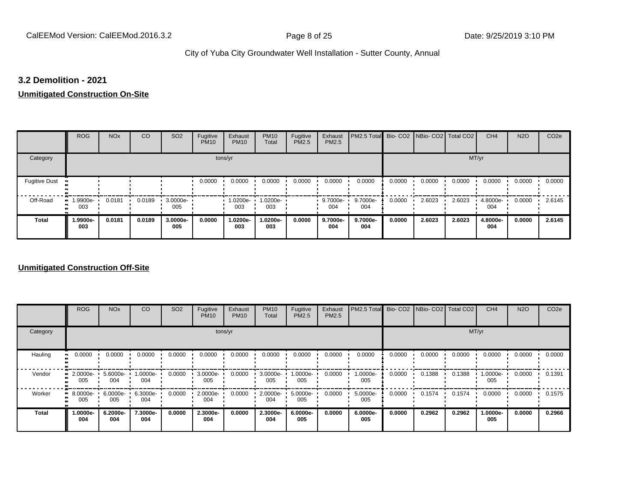#### **3.2 Demolition - 2021**

#### **Unmitigated Construction On-Site**

|                                   | <b>ROG</b>                     | <b>NO<sub>x</sub></b> | CO     | SO <sub>2</sub> | Fugitive<br><b>PM10</b> | Exhaust<br><b>PM10</b> | <b>PM10</b><br>Total | Fugitive<br><b>PM2.5</b> | Exhaust<br>PM2.5 | PM2.5 Total Bio- CO2 NBio- CO2 Total CO2 |        |        |        | CH <sub>4</sub> | <b>N2O</b> | CO <sub>2e</sub> |
|-----------------------------------|--------------------------------|-----------------------|--------|-----------------|-------------------------|------------------------|----------------------|--------------------------|------------------|------------------------------------------|--------|--------|--------|-----------------|------------|------------------|
| Category                          |                                |                       |        |                 | tons/yr                 |                        |                      |                          |                  |                                          |        |        | MT/yr  |                 |            |                  |
| <b>Fugitive Dust</b><br>$\bullet$ |                                |                       |        |                 | 0.0000                  | 0.0000                 | 0.0000               | 0.0000                   | 0.0000           | 0.0000                                   | 0.0000 | 0.0000 | 0.0000 | 0.0000          | 0.0000     | 0.0000           |
| Off-Road<br>п.                    | $\blacksquare$ 1.9900e-<br>003 | 0.0181                | 0.0189 | 3.0000e-<br>005 |                         | 1.0200e-<br>003        | 1.0200e-<br>003      |                          | 9.7000e-<br>004  | 9.7000e-<br>004                          | 0.0000 | 2.6023 | 2.6023 | 4.8000e-<br>004 | 0.0000     | 2.6145           |
| <b>Total</b>                      | 1.9900e-<br>003                | 0.0181                | 0.0189 | 3.0000e-<br>005 | 0.0000                  | 1.0200e-<br>003        | 1.0200e-<br>003      | 0.0000                   | 9.7000e-<br>004  | 9.7000e-<br>004                          | 0.0000 | 2.6023 | 2.6023 | 4.8000e-<br>004 | 0.0000     | 2.6145           |

#### **Unmitigated Construction Off-Site**

|              | <b>ROG</b>      | <b>NO<sub>x</sub></b> | CO              | SO <sub>2</sub> | Fugitive<br><b>PM10</b> | Exhaust<br><b>PM10</b> | <b>PM10</b><br>Total | Fugitive<br><b>PM2.5</b> | Exhaust<br>PM2.5 | PM2.5 Total Bio- CO2 NBio- CO2 Total CO2 |        |        |        | CH <sub>4</sub> | <b>N2O</b> | CO <sub>2e</sub> |
|--------------|-----------------|-----------------------|-----------------|-----------------|-------------------------|------------------------|----------------------|--------------------------|------------------|------------------------------------------|--------|--------|--------|-----------------|------------|------------------|
| Category     |                 |                       |                 |                 |                         | tons/yr                |                      |                          |                  |                                          |        |        | MT/yr  |                 |            |                  |
| Hauling      | 0.0000          | 0.0000                | 0.0000          | 0.0000          | 0.0000                  | 0.0000                 | 0.0000               | 0.0000                   | 0.0000           | 0.0000                                   | 0.0000 | 0.0000 | 0.0000 | 0.0000          | 0.0000     | 0.0000           |
| Vendor       | 2.0000e-<br>005 | 5.6000e-<br>004       | 1.0000e-<br>004 | 0.0000          | 3.0000e-<br>005         | 0.0000                 | 3.0000e-<br>005      | 1.0000e-<br>005          | 0.0000           | 1.0000e-<br>005                          | 0.0000 | 0.1388 | 0.1388 | 1.0000e-<br>005 | 0.0000     | 0.1391           |
| Worker       | 8.0000e-<br>005 | $6.0000e -$<br>005    | 6.3000e-<br>004 | 0.0000          | 2.0000e-<br>004         | 0.0000                 | 2.0000e-<br>004      | 5.0000e-<br>005          | 0.0000           | 5.0000e-<br>005                          | 0.0000 | 0.1574 | 0.1574 | 0.0000          | 0.0000     | 0.1575           |
| <b>Total</b> | 1.0000e-<br>004 | 6.2000e-<br>004       | 7.3000e-<br>004 | 0.0000          | 2.3000e-<br>004         | 0.0000                 | 2.3000e-<br>004      | 6.0000e-<br>005          | 0.0000           | 6.0000e-<br>005                          | 0.0000 | 0.2962 | 0.2962 | 1.0000e-<br>005 | 0.0000     | 0.2966           |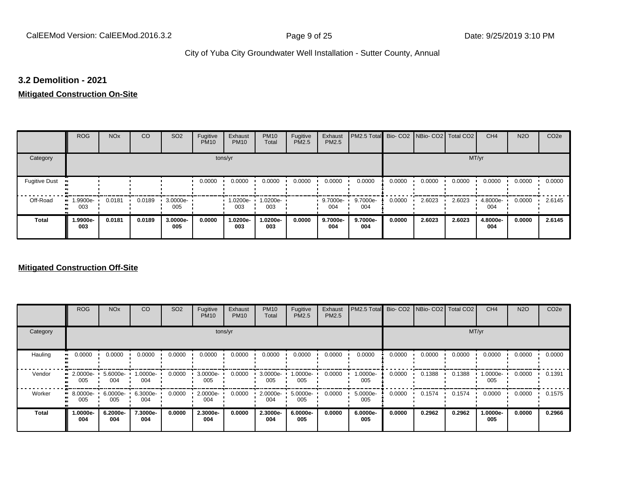#### **3.2 Demolition - 2021**

#### **Mitigated Construction On-Site**

|                      | <b>ROG</b>                   | <b>NO<sub>x</sub></b> | CO     | SO <sub>2</sub> | Fugitive<br><b>PM10</b> | Exhaust<br><b>PM10</b> | <b>PM10</b><br>Total | Fugitive<br>PM2.5 | Exhaust<br>PM2.5 | PM2.5 Total Bio- CO2 NBio- CO2 Total CO2 |        |        |        | CH <sub>4</sub> | <b>N2O</b> | CO <sub>2e</sub> |
|----------------------|------------------------------|-----------------------|--------|-----------------|-------------------------|------------------------|----------------------|-------------------|------------------|------------------------------------------|--------|--------|--------|-----------------|------------|------------------|
| Category             |                              |                       |        |                 | tons/yr                 |                        |                      |                   |                  |                                          |        |        | MT/yr  |                 |            |                  |
| <b>Fugitive Dust</b> |                              |                       |        |                 | 0.0000                  | 0.0000                 | 0.0000               | 0.0000            | 0.0000           | 0.0000                                   | 0.0000 | 0.0000 | 0.0000 | 0.0000          | 0.0000     | 0.0000           |
| Off-Road<br>m        | 1.9900e-<br>$\bullet$<br>003 | 0.0181                | 0.0189 | 3.0000e-<br>005 |                         | 1.0200e-<br>003        | 1.0200e-<br>003      |                   | 9.7000e-<br>004  | 9.7000e-<br>004                          | 0.0000 | 2.6023 | 2.6023 | 4.8000e-<br>004 | 0.0000     | 2.6145           |
| <b>Total</b>         | 1.9900e-<br>003              | 0.0181                | 0.0189 | 3.0000e-<br>005 | 0.0000                  | 1.0200e-<br>003        | 1.0200e-<br>003      | 0.0000            | 9.7000e-<br>004  | 9.7000e-<br>004                          | 0.0000 | 2.6023 | 2.6023 | 4.8000e-<br>004 | 0.0000     | 2.6145           |

#### **Mitigated Construction Off-Site**

|              | <b>ROG</b>                     | <b>NO<sub>x</sub></b> | CO                 | SO <sub>2</sub> | Fugitive<br><b>PM10</b> | Exhaust<br><b>PM10</b> | <b>PM10</b><br>Total | Fugitive<br><b>PM2.5</b> | Exhaust<br>PM2.5 | PM2.5 Total Bio- CO2 NBio- CO2 Total CO2 |        |        |        | CH <sub>4</sub> | <b>N2O</b> | CO <sub>2e</sub> |
|--------------|--------------------------------|-----------------------|--------------------|-----------------|-------------------------|------------------------|----------------------|--------------------------|------------------|------------------------------------------|--------|--------|--------|-----------------|------------|------------------|
| Category     |                                |                       |                    |                 | tons/yr                 |                        |                      |                          |                  |                                          |        |        | MT/yr  |                 |            |                  |
| Hauling      | 0.0000                         | 0.0000                | 0.0000             | 0.0000          | 0.0000                  | 0.0000                 | 0.0000               | 0.0000                   | 0.0000           | 0.0000                                   | 0.0000 | 0.0000 | 0.0000 | 0.0000          | 0.0000     | 0.0000           |
| Vendor       | 2.0000e-<br>005                | 5.6000e-<br>004       | 1.0000e-<br>004    | 0.0000          | 3.0000e-<br>005         | 0.0000                 | 3.0000e-<br>005      | 1.0000e-<br>005          | 0.0000           | 1.0000e-<br>005                          | 0.0000 | 0.1388 | 0.1388 | 1.0000e-<br>005 | 0.0000     | 0.1391           |
| Worker       | $\blacksquare$ 8.0000e-<br>005 | 6.0000e-<br>005       | $6.3000e -$<br>004 | 0.0000          | 2.0000e-<br>004         | 0.0000                 | 2.0000e-<br>004      | 5.0000e-<br>005          | 0.0000           | 5.0000e-<br>005                          | 0.0000 | 0.1574 | 0.1574 | 0.0000          | 0.0000     | 0.1575           |
| <b>Total</b> | -.0000e<br>004                 | 6.2000e-<br>004       | 7.3000e-<br>004    | 0.0000          | 2.3000e-<br>004         | 0.0000                 | 2.3000e-<br>004      | 6.0000e-<br>005          | 0.0000           | 6.0000e-<br>005                          | 0.0000 | 0.2962 | 0.2962 | 1.0000e-<br>005 | 0.0000     | 0.2966           |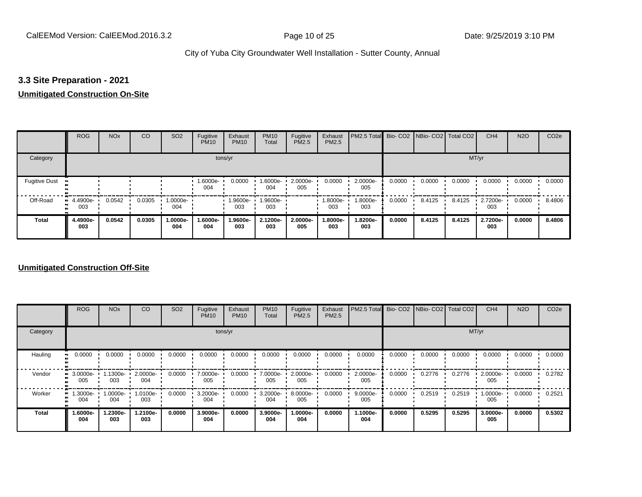#### **3.3 Site Preparation - 2021**

## **Unmitigated Construction On-Site**

|                      | <b>ROG</b>         | <b>NO<sub>x</sub></b> | CO     | SO <sub>2</sub> | Fugitive<br><b>PM10</b> | Exhaust<br><b>PM10</b> | <b>PM10</b><br>Total | Fugitive<br><b>PM2.5</b> | Exhaust<br>PM2.5 | PM2.5 Total Bio- CO2 NBio- CO2   Total CO2 |        |        |        | CH <sub>4</sub> | <b>N2O</b> | CO <sub>2e</sub> |
|----------------------|--------------------|-----------------------|--------|-----------------|-------------------------|------------------------|----------------------|--------------------------|------------------|--------------------------------------------|--------|--------|--------|-----------------|------------|------------------|
| Category             |                    |                       |        |                 | tons/yr                 |                        |                      |                          |                  |                                            |        |        | MT/yr  |                 |            |                  |
| <b>Fugitive Dust</b> |                    |                       |        |                 | 1.6000e-<br>004         | 0.0000                 | 1.6000e-<br>004      | 2.0000e-<br>005          | 0.0000           | 2.0000e-<br>005                            | 0.0000 | 0.0000 | 0.0000 | 0.0000          | 0.0000     | 0.0000           |
| Off-Road<br>п.       | $-4.4900e-$<br>003 | 0.0542                | 0.0305 | 1.0000e-<br>004 |                         | 1.9600e-<br>003        | 1.9600e-<br>003      |                          | 1.8000e-<br>003  | 1.8000e-<br>003                            | 0.0000 | 8.4125 | 8.4125 | 2.7200e-<br>003 | 0.0000     | 8.4806           |
| <b>Total</b>         | 4.4900e-<br>003    | 0.0542                | 0.0305 | 1.0000e-<br>004 | 1.6000e-<br>004         | 1.9600e-<br>003        | 2.1200e-<br>003      | 2.0000e-<br>005          | -8000e.<br>003   | 1.8200e-<br>003                            | 0.0000 | 8.4125 | 8.4125 | 2.7200e-<br>003 | 0.0000     | 8.4806           |

#### **Unmitigated Construction Off-Site**

|              | <b>ROG</b>      | <b>NO<sub>x</sub></b> | CO              | SO <sub>2</sub> | Fugitive<br><b>PM10</b> | Exhaust<br><b>PM10</b> | <b>PM10</b><br>Total | Fugitive<br><b>PM2.5</b> | Exhaust<br>PM2.5 | PM2.5 Total Bio- CO2 NBio- CO2 Total CO2 |        |        |        | CH <sub>4</sub> | <b>N2O</b> | CO <sub>2e</sub> |
|--------------|-----------------|-----------------------|-----------------|-----------------|-------------------------|------------------------|----------------------|--------------------------|------------------|------------------------------------------|--------|--------|--------|-----------------|------------|------------------|
| Category     |                 |                       |                 |                 |                         | tons/yr                |                      |                          |                  |                                          |        |        |        | MT/yr           |            |                  |
| Hauling      | 0.0000          | 0.0000                | 0.0000          | 0.0000          | 0.0000                  | 0.0000                 | 0.0000               | 0.0000                   | 0.0000           | 0.0000                                   | 0.0000 | 0.0000 | 0.0000 | 0.0000          | 0.0000     | 0.0000           |
| Vendor       | 3.0000e-<br>005 | 1.1300e-<br>003       | 2.0000e-<br>004 | 0.0000          | 7.0000e-<br>005         | 0.0000                 | 7.0000e-<br>005      | 2.0000e-<br>005          | 0.0000           | 2.0000e-<br>005                          | 0.0000 | 0.2776 | 0.2776 | 2.0000e-<br>005 | 0.0000     | 0.2782           |
| Worker       | 1.3000e-<br>004 | 1.0000e-<br>004       | 1.0100e-<br>003 | 0.0000          | 3.2000e-<br>004         | 0.0000                 | 3.2000e-<br>004      | 8.0000e-<br>005          | 0.0000           | $9.0000e -$<br>005                       | 0.0000 | 0.2519 | 0.2519 | 1.0000e-<br>005 | 0.0000     | 0.2521           |
| <b>Total</b> | 1.6000e-<br>004 | 1.2300e-<br>003       | 1.2100e-<br>003 | 0.0000          | 3.9000e-<br>004         | 0.0000                 | 3.9000e-<br>004      | 1.0000e-<br>004          | 0.0000           | 1.1000e-<br>004                          | 0.0000 | 0.5295 | 0.5295 | 3.0000e-<br>005 | 0.0000     | 0.5302           |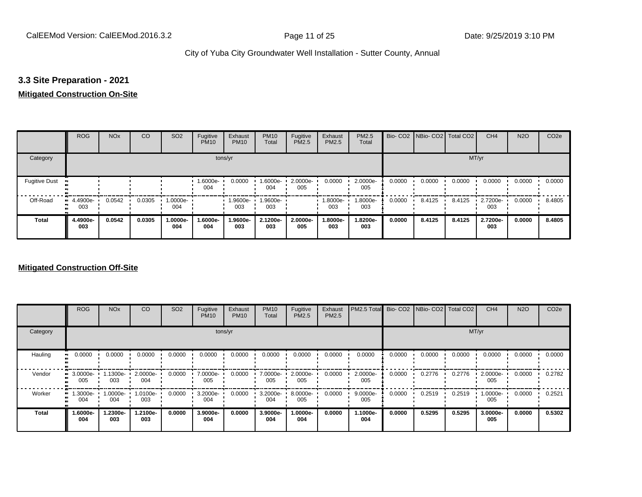#### **3.3 Site Preparation - 2021**

#### **Mitigated Construction On-Site**

|                           | <b>ROG</b>         | <b>NO<sub>x</sub></b> | CO     | SO <sub>2</sub> | Fugitive<br><b>PM10</b> | Exhaust<br><b>PM10</b> | <b>PM10</b><br>Total | Fugitive<br><b>PM2.5</b> | Exhaust<br>PM2.5 | PM2.5<br>Total  |        | Bio- CO2   NBio- CO2   Total CO2 |        | CH <sub>4</sub> | <b>N2O</b> | CO <sub>2e</sub> |
|---------------------------|--------------------|-----------------------|--------|-----------------|-------------------------|------------------------|----------------------|--------------------------|------------------|-----------------|--------|----------------------------------|--------|-----------------|------------|------------------|
| Category                  |                    |                       |        |                 | tons/yr                 |                        |                      |                          |                  |                 |        |                                  | MT/yr  |                 |            |                  |
| <b>Fugitive Dust</b><br>п |                    |                       |        |                 | 1.6000e-<br>004         | 0.0000                 | 1.6000e-<br>004      | 2.0000e-<br>005          | 0.0000           | 2.0000e-<br>005 | 0.0000 | 0.0000                           | 0.0000 | 0.0000          | 0.0000     | 0.0000           |
| Off-Road<br>п.            | $-4.4900e-$<br>003 | 0.0542                | 0.0305 | 1.0000e-<br>004 |                         | 1.9600e-<br>003        | 1.9600e-<br>003      |                          | -.8000e<br>003   | 1.8000e-<br>003 | 0.0000 | 8.4125                           | 8.4125 | 2.7200e-<br>003 | 0.0000     | 8.4805           |
| <b>Total</b>              | 4.4900e-<br>003    | 0.0542                | 0.0305 | 1.0000e-<br>004 | 1.6000e-<br>004         | 1.9600e-<br>003        | 2.1200e-<br>003      | 2.0000e-<br>005          | -8000e.<br>003   | 1.8200e-<br>003 | 0.0000 | 8.4125                           | 8.4125 | 2.7200e-<br>003 | 0.0000     | 8.4805           |

#### **Mitigated Construction Off-Site**

|              | <b>ROG</b>      | <b>NO<sub>x</sub></b> | CO              | SO <sub>2</sub> | Fugitive<br><b>PM10</b> | Exhaust<br><b>PM10</b> | <b>PM10</b><br>Total | Fugitive<br><b>PM2.5</b> | Exhaust<br>PM2.5 | PM2.5 Total Bio- CO2 NBio- CO2 Total CO2 |        |        |        | CH <sub>4</sub> | <b>N2O</b> | CO <sub>2e</sub> |
|--------------|-----------------|-----------------------|-----------------|-----------------|-------------------------|------------------------|----------------------|--------------------------|------------------|------------------------------------------|--------|--------|--------|-----------------|------------|------------------|
| Category     |                 |                       |                 |                 |                         | tons/yr                |                      |                          |                  |                                          |        |        |        | MT/yr           |            |                  |
| Hauling      | 0.0000          | 0.0000                | 0.0000          | 0.0000          | 0.0000                  | 0.0000                 | 0.0000               | 0.0000                   | 0.0000           | 0.0000                                   | 0.0000 | 0.0000 | 0.0000 | 0.0000          | 0.0000     | 0.0000           |
| Vendor       | 3.0000e-<br>005 | 1.1300e-<br>003       | 2.0000e-<br>004 | 0.0000          | 7.0000e-<br>005         | 0.0000                 | 7.0000e-<br>005      | 2.0000e-<br>005          | 0.0000           | 2.0000e-<br>005                          | 0.0000 | 0.2776 | 0.2776 | 2.0000e-<br>005 | 0.0000     | 0.2782           |
| Worker       | 1.3000e-<br>004 | 1.0000e-<br>004       | 1.0100e-<br>003 | 0.0000          | 3.2000e-<br>004         | 0.0000                 | 3.2000e-<br>004      | 8.0000e-<br>005          | 0.0000           | $9.0000e -$<br>005                       | 0.0000 | 0.2519 | 0.2519 | 1.0000e-<br>005 | 0.0000     | 0.2521           |
| <b>Total</b> | 1.6000e-<br>004 | 1.2300e-<br>003       | 1.2100e-<br>003 | 0.0000          | 3.9000e-<br>004         | 0.0000                 | 3.9000e-<br>004      | 1.0000e-<br>004          | 0.0000           | 1.1000e-<br>004                          | 0.0000 | 0.5295 | 0.5295 | 3.0000e-<br>005 | 0.0000     | 0.5302           |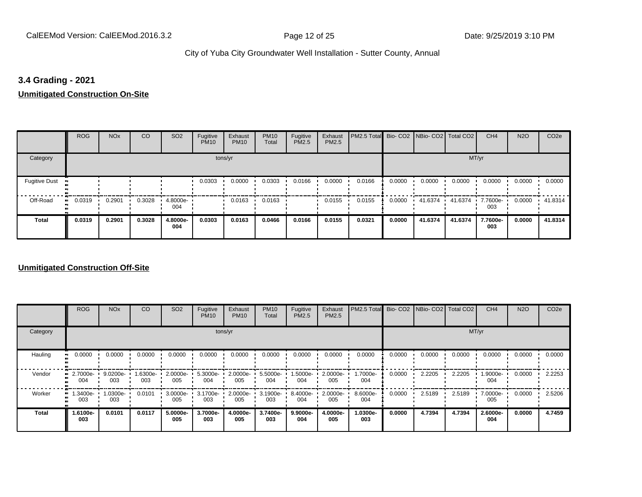#### **3.4 Grading - 2021**

**Unmitigated Construction On-Site**

|                      | <b>ROG</b> | <b>NO<sub>x</sub></b> | CO     | SO <sub>2</sub> | Fugitive<br><b>PM10</b> | Exhaust<br><b>PM10</b> | <b>PM10</b><br>Total | Fugitive<br><b>PM2.5</b> | Exhaust<br>PM2.5 | PM2.5 Total Bio- CO2 NBio- CO2   Total CO2 |        |         |                | CH <sub>4</sub> | <b>N2O</b> | CO <sub>2e</sub> |
|----------------------|------------|-----------------------|--------|-----------------|-------------------------|------------------------|----------------------|--------------------------|------------------|--------------------------------------------|--------|---------|----------------|-----------------|------------|------------------|
| Category             |            |                       |        |                 |                         | tons/yr                |                      |                          |                  |                                            |        |         | MT/yr          |                 |            |                  |
| <b>Fugitive Dust</b> |            |                       |        |                 | 0.0303                  | 0.0000                 | 0.0303               | 0.0166                   | 0.0000           | 0.0166                                     | 0.0000 | 0.0000  | 0.0000         | 0.0000          | 0.0000     | 0.0000           |
| Off-Road             | 0.0319     | 0.2901                | 0.3028 | 4.8000e-<br>004 |                         | 0.0163                 | 0.0163               |                          | 0.0155           | 0.0155                                     | 0.0000 | 41.6374 | 41.6374<br>. . | 7.7600e-<br>003 | 0.0000     | .41.8314         |
| <b>Total</b>         | 0.0319     | 0.2901                | 0.3028 | 4.8000e-<br>004 | 0.0303                  | 0.0163                 | 0.0466               | 0.0166                   | 0.0155           | 0.0321                                     | 0.0000 | 41.6374 | 41.6374        | 7.7600e-<br>003 | 0.0000     | 41.8314          |

#### **Unmitigated Construction Off-Site**

|              | <b>ROG</b>      | <b>NO<sub>x</sub></b> | CO             | SO <sub>2</sub> | Fugitive<br><b>PM10</b> | Exhaust<br><b>PM10</b> | <b>PM10</b><br>Total | Fugitive<br><b>PM2.5</b> | Exhaust<br>PM2.5 | PM2.5 Total Bio- CO2 NBio- CO2 Total CO2 |        |        |        | CH <sub>4</sub> | <b>N2O</b> | CO <sub>2e</sub> |
|--------------|-----------------|-----------------------|----------------|-----------------|-------------------------|------------------------|----------------------|--------------------------|------------------|------------------------------------------|--------|--------|--------|-----------------|------------|------------------|
| Category     |                 |                       |                |                 |                         | tons/yr                |                      |                          |                  |                                          |        |        |        | MT/yr           |            |                  |
| Hauling      | 0.0000          | 0.0000                | 0.0000         | 0.0000          | 0.0000                  | 0.0000                 | 0.0000               | 0.0000                   | 0.0000           | 0.0000                                   | 0.0000 | 0.0000 | 0.0000 | 0.0000          | 0.0000     | 0.0000           |
| Vendor       | 2.7000e-<br>004 | 9.0200e-<br>003       | .6300e-<br>003 | 2.0000e-<br>005 | 5.3000e-<br>004         | 2.0000e-<br>005        | 5.5000e-<br>004      | 1.5000e-<br>004          | 2.0000e-<br>005  | 1.7000e-<br>004                          | 0.0000 | 2.2205 | 2.2205 | 1.9000e-<br>004 | 0.0000     | 2.2253           |
| Worker       | 1.3400e-<br>003 | 1.0300e-<br>003       | 0.0101         | 3.0000e-<br>005 | 3.1700e-<br>003         | 2.0000e-<br>005        | 3.1900e-<br>003      | 8.4000e-<br>004          | 2.0000e-<br>005  | 8.6000e-<br>004                          | 0.0000 | 2.5189 | 2.5189 | 7.0000e-<br>005 | 0.0000     | 2.5206           |
| <b>Total</b> | 1.6100e-<br>003 | 0.0101                | 0.0117         | 5.0000e-<br>005 | 3.7000e-<br>003         | 4.0000e-<br>005        | 3.7400e-<br>003      | 9.9000e-<br>004          | 4.0000e-<br>005  | 1.0300e-<br>003                          | 0.0000 | 4.7394 | 4.7394 | 2.6000e-<br>004 | 0.0000     | 4.7459           |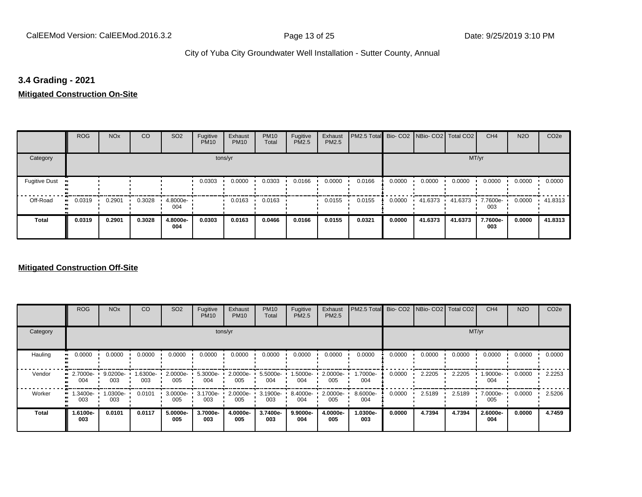#### **3.4 Grading - 2021**

**Mitigated Construction On-Site**

|                      | <b>ROG</b> | <b>NO<sub>x</sub></b> | CO     | SO <sub>2</sub> | Fugitive<br><b>PM10</b> | Exhaust<br><b>PM10</b> | <b>PM10</b><br>Total | Fugitive<br><b>PM2.5</b> | Exhaust<br>PM2.5 | PM2.5 Total Bio- CO2 NBio- CO2   Total CO2 |        |         |         | CH <sub>4</sub> | <b>N2O</b> | CO <sub>2e</sub> |
|----------------------|------------|-----------------------|--------|-----------------|-------------------------|------------------------|----------------------|--------------------------|------------------|--------------------------------------------|--------|---------|---------|-----------------|------------|------------------|
| Category             |            |                       |        |                 |                         | tons/yr                |                      |                          |                  |                                            |        |         | MT/yr   |                 |            |                  |
| <b>Fugitive Dust</b> |            |                       |        |                 | 0.0303                  | 0.0000                 | 0.0303               | 0.0166                   | 0.0000           | 0.0166                                     | 0.0000 | 0.0000  | 0.0000  | 0.0000          | 0.0000     | 0.0000           |
| Off-Road             | 0.0319     | 0.2901                | 0.3028 | 4.8000e<br>004  |                         | 0.0163                 | 0.0163               |                          | 0.0155           | 0.0155                                     | 0.0000 | 41.6373 | 41.6373 | 7.7600e-<br>003 | 0.0000     | 41.8313          |
| <b>Total</b>         | 0.0319     | 0.2901                | 0.3028 | 4.8000e-<br>004 | 0.0303                  | 0.0163                 | 0.0466               | 0.0166                   | 0.0155           | 0.0321                                     | 0.0000 | 41.6373 | 41.6373 | 7.7600e-<br>003 | 0.0000     | 41.8313          |

#### **Mitigated Construction Off-Site**

|                           | <b>ROG</b>                   | <b>NO<sub>x</sub></b> | CO             | SO <sub>2</sub> | Fugitive<br><b>PM10</b> | Exhaust<br><b>PM10</b> | <b>PM10</b><br>Total | Fugitive<br><b>PM2.5</b> | Exhaust<br>PM2.5 | PM2.5 Total Bio- CO2 NBio- CO2 Total CO2 |        |        |        | CH <sub>4</sub> | <b>N2O</b> | CO <sub>2e</sub> |
|---------------------------|------------------------------|-----------------------|----------------|-----------------|-------------------------|------------------------|----------------------|--------------------------|------------------|------------------------------------------|--------|--------|--------|-----------------|------------|------------------|
| Category                  |                              |                       |                |                 |                         | tons/yr                |                      |                          |                  |                                          |        |        | MT/yr  |                 |            |                  |
| Hauling<br>$\blacksquare$ | 0.0000                       | 0.0000                | 0.0000         | 0.0000          | 0.0000                  | 0.0000                 | 0.0000               | 0.0000                   | 0.0000           | 0.0000                                   | 0.0000 | 0.0000 | 0.0000 | 0.0000          | 0.0000     | 0.0000           |
| Vendor                    | 2.7000e-<br>п.<br>004        | 9.0200e-<br>003       | -6300e-<br>003 | 2.0000e-<br>005 | 5.3000e-<br>004         | 2.0000e-<br>005        | 5.5000e-<br>004      | 1.5000e-<br>004          | 2.0000e-<br>005  | 1.7000e-<br>004                          | 0.0000 | 2.2205 | 2.2205 | 1.9000e-<br>004 | 0.0000     | 2.2253           |
| Worker                    | 1.3400e-<br>$\bullet$<br>003 | 1.0300e-<br>003       | 0.0101         | 3.0000e-<br>005 | 3.1700e-<br>003         | 2.0000e-<br>005        | 3.1900e-<br>003      | 8.4000e-<br>004          | 2.0000e-<br>005  | 8.6000e-<br>004                          | 0.0000 | 2.5189 | 2.5189 | 7.0000e-<br>005 | 0.0000     | 2.5206           |
| <b>Total</b>              | 1.6100e-<br>003              | 0.0101                | 0.0117         | 5.0000e-<br>005 | 3.7000e-<br>003         | 4.0000e-<br>005        | 3.7400e-<br>003      | 9.9000e-<br>004          | 4.0000e-<br>005  | 1.0300e-<br>003                          | 0.0000 | 4.7394 | 4.7394 | 2.6000e-<br>004 | 0.0000     | 4.7459           |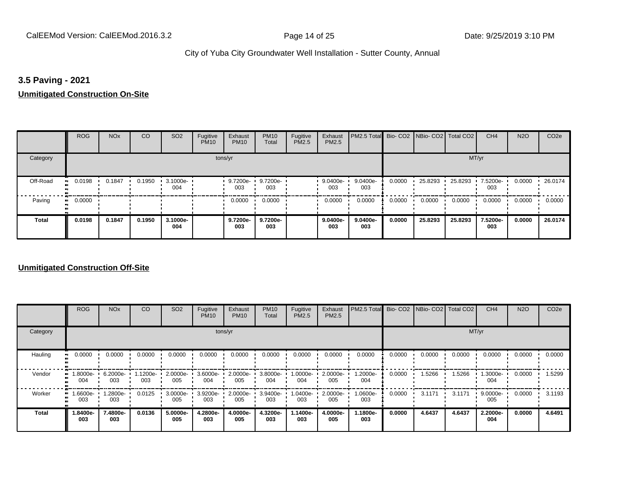#### **3.5 Paving - 2021**

## **Unmitigated Construction On-Site**

|              | <b>ROG</b>          | <b>NO<sub>x</sub></b> | CO     | SO <sub>2</sub> | Fugitive<br><b>PM10</b> | Exhaust<br><b>PM10</b> | <b>PM10</b><br>Total     | Fugitive<br><b>PM2.5</b> | Exhaust<br>PM2.5 | PM2.5 Total Bio- CO2 NBio- CO2 Total CO2 |        |         |         | CH <sub>4</sub> | <b>N2O</b> | CO <sub>2e</sub> |
|--------------|---------------------|-----------------------|--------|-----------------|-------------------------|------------------------|--------------------------|--------------------------|------------------|------------------------------------------|--------|---------|---------|-----------------|------------|------------------|
| Category     |                     |                       |        |                 |                         | tons/yr                |                          |                          |                  |                                          |        |         | MT/yr   |                 |            |                  |
| Off-Road     | 0.0198<br>          | 0.1847                | 0.1950 | 3.1000e-<br>004 |                         | 003                    | 9.7200e- 9.7200e-<br>003 |                          | 9.0400e-<br>003  | 9.0400e-<br>003                          | 0.0000 | 25.8293 | 25.8293 | 7.5200e-<br>003 | 0.0000     | 26.0174          |
| Paving       | 0.0000<br>$\bullet$ |                       |        |                 |                         | 0.0000                 | 0.0000                   |                          | 0.0000           | 0.0000                                   | 0.0000 | 0.0000  | 0.0000  | 0.0000          | 0.0000     | 0.0000           |
| <b>Total</b> | 0.0198              | 0.1847                | 0.1950 | 3.1000e-<br>004 |                         | 9.7200e-<br>003        | 9.7200e-<br>003          |                          | 9.0400e-<br>003  | $9.0400e-$<br>003                        | 0.0000 | 25.8293 | 25.8293 | 7.5200e-<br>003 | 0.0000     | 26.0174          |

#### **Unmitigated Construction Off-Site**

|              | <b>ROG</b>      | <b>NO<sub>x</sub></b> | CO              | SO <sub>2</sub> | Fugitive<br><b>PM10</b> | Exhaust<br><b>PM10</b> | <b>PM10</b><br>Total | Fugitive<br>PM2.5 | Exhaust<br><b>PM2.5</b> | PM2.5 Total     |        | Bio- CO2 NBio- CO2 Total CO2 |        | CH <sub>4</sub> | <b>N2O</b> | CO <sub>2e</sub> |
|--------------|-----------------|-----------------------|-----------------|-----------------|-------------------------|------------------------|----------------------|-------------------|-------------------------|-----------------|--------|------------------------------|--------|-----------------|------------|------------------|
| Category     |                 |                       |                 |                 |                         | tons/yr                |                      |                   |                         |                 |        |                              |        | MT/yr           |            |                  |
| Hauling      | 0.0000          | 0.0000                | 0.0000          | 0.0000          | 0.0000                  | 0.0000                 | 0.0000               | 0.0000            | 0.0000                  | 0.0000          | 0.0000 | 0.0000                       | 0.0000 | 0.0000          | 0.0000     | 0.0000           |
| Vendor       | 1.8000e-<br>004 | 6.2000e-<br>003       | 1.1200e-<br>003 | 2.0000e-<br>005 | 3.6000e-<br>004         | 2.0000e-<br>005        | 3.8000e-<br>004      | 1.0000e-<br>004   | 2.0000e-<br>005         | 1.2000e-<br>004 | 0.0000 | 1.5266                       | 1.5266 | 1.3000e-<br>004 | 0.0000     | 1.5299           |
| Worker       | 1.6600e-<br>003 | 1.2800e-<br>003       | 0.0125          | 3.0000e-<br>005 | 3.9200e-<br>003         | 2.0000e-<br>005        | 3.9400e-<br>003      | 1.0400e-<br>003   | 2.0000e-<br>005         | 1.0600e-<br>003 | 0.0000 | 3.1171                       | 3.1171 | 9.0000e-<br>005 | 0.0000     | 3.1193           |
| <b>Total</b> | 1.8400e-<br>003 | 7.4800e-<br>003       | 0.0136          | 5.0000e-<br>005 | 4.2800e-<br>003         | 4.0000e-<br>005        | 4.3200e-<br>003      | .1400e-<br>003    | 4.0000e-<br>005         | 1.1800e-<br>003 | 0.0000 | 4.6437                       | 4.6437 | 2.2000e-<br>004 | 0.0000     | 4.6491           |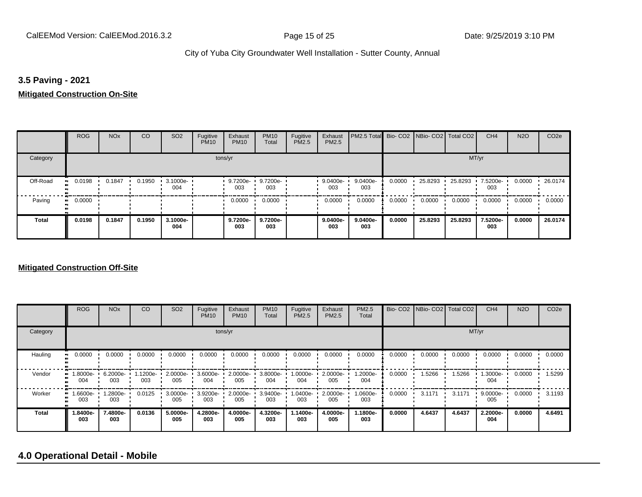#### **3.5 Paving - 2021**

### **Mitigated Construction On-Site**

|                       | <b>ROG</b>   | <b>NO<sub>x</sub></b> | CO     | SO <sub>2</sub> | Fugitive<br><b>PM10</b> | Exhaust<br><b>PM10</b> | <b>PM10</b><br>Total | Fugitive<br>PM2.5 | Exhaust<br>PM2.5 | PM2.5 Total Bio- CO2 NBio- CO2 Total CO2 |        |         |         | CH <sub>4</sub> | <b>N2O</b> | CO <sub>2e</sub> |
|-----------------------|--------------|-----------------------|--------|-----------------|-------------------------|------------------------|----------------------|-------------------|------------------|------------------------------------------|--------|---------|---------|-----------------|------------|------------------|
| Category              |              |                       |        |                 | tons/yr                 |                        |                      |                   |                  |                                          |        |         | MT/yr   |                 |            |                  |
| Off-Road<br>$\bullet$ | 0.0198       | 0.1847                | 0.1950 | 3.1000e-<br>004 |                         | 9.7200e-<br>003        | 9.7200e-<br>003      |                   | 9.0400e-<br>003  | 9.0400e-<br>003                          | 0.0000 | 25.8293 | 25.8293 | 7.5200e-<br>003 | 0.0000     | 26.0174          |
| Paving                | 0.0000<br>ш. |                       |        |                 |                         | 0.0000                 | 0.0000               |                   | 0.0000           | 0.0000                                   | 0.0000 | 0.0000  | 0.0000  | 0.0000          | 0.0000     | 0.0000           |
| <b>Total</b>          | 0.0198       | 0.1847                | 0.1950 | 3.1000e-<br>004 |                         | 9.7200e-<br>003        | 9.7200e-<br>003      |                   | 9.0400e-<br>003  | $9.0400e-$<br>003                        | 0.0000 | 25.8293 | 25.8293 | 7.5200e-<br>003 | 0.0000     | 26.0174          |

#### **Mitigated Construction Off-Site**

|              | <b>ROG</b>            | <b>NO<sub>x</sub></b> | CO              | SO <sub>2</sub> | Fugitive<br><b>PM10</b> | Exhaust<br><b>PM10</b> | <b>PM10</b><br>Total | Fugitive<br>PM2.5 | Exhaust<br><b>PM2.5</b> | <b>PM2.5</b><br>Total |        | Bio- CO2   NBio- CO2   Total CO2 |        | CH <sub>4</sub> | <b>N2O</b> | CO <sub>2e</sub> |
|--------------|-----------------------|-----------------------|-----------------|-----------------|-------------------------|------------------------|----------------------|-------------------|-------------------------|-----------------------|--------|----------------------------------|--------|-----------------|------------|------------------|
| Category     |                       |                       |                 |                 |                         | tons/yr                |                      |                   |                         |                       |        |                                  | MT/yr  |                 |            |                  |
| Hauling      | 0.0000                | 0.0000                | 0.0000          | 0.0000          | 0.0000                  | 0.0000                 | 0.0000               | 0.0000            | 0.0000                  | 0.0000                | 0.0000 | 0.0000                           | 0.0000 | 0.0000          | 0.0000     | 0.0000           |
| Vendor       | $1.8000e-$<br><br>004 | 6.2000e-<br>003       | 1.1200e-<br>003 | 2.0000e-<br>005 | 3.6000e-<br>004         | $2.0000e-$<br>005      | 3.8000e-<br>004      | 1.0000e-<br>004   | 2.0000e-<br>005         | 1.2000e-<br>004       | 0.0000 | 1.5266                           | 1.5266 | 1.3000e-<br>004 | 0.0000     | 1.5299           |
| Worker       | 1.6600e-<br><br>003   | 1.2800e-<br>003       | 0.0125          | 3.0000e-<br>005 | 3.9200e-<br>003         | 2.0000e-<br>005        | 3.9400e-<br>003      | 1.0400e-<br>003   | 2.0000e-<br>005         | 1.0600e-<br>003       | 0.0000 | 3.1171                           | 3.1171 | 9.0000e-<br>005 | 0.0000     | 3.1193           |
| <b>Total</b> | 1.8400e-<br>003       | 7.4800e-<br>003       | 0.0136          | 5.0000e-<br>005 | 4.2800e-<br>003         | 4.0000e-<br>005        | 4.3200e-<br>003      | $.1400e-$<br>003  | 4.0000e-<br>005         | 1.1800e-<br>003       | 0.0000 | 4.6437                           | 4.6437 | 2.2000e-<br>004 | 0.0000     | 4.6491           |

## **4.0 Operational Detail - Mobile**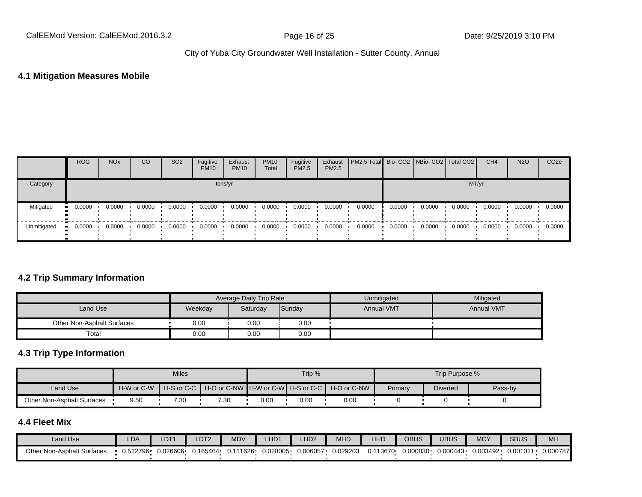#### **4.1 Mitigation Measures Mobile**

|             | <b>ROG</b> | <b>NO<sub>x</sub></b> | CO     | SO <sub>2</sub> | Fugitive<br><b>PM10</b> | Exhaust<br><b>PM10</b> | <b>PM10</b><br>Total | Fugitive<br>PM2.5 | Exhaust<br>PM2.5 | PM2.5 Total Bio- CO2 NBio- CO2 Total CO2 |        |        |        | CH <sub>4</sub> | <b>N2O</b> | CO <sub>2</sub> e |
|-------------|------------|-----------------------|--------|-----------------|-------------------------|------------------------|----------------------|-------------------|------------------|------------------------------------------|--------|--------|--------|-----------------|------------|-------------------|
| Category    |            |                       |        |                 |                         | tons/yr                |                      |                   |                  |                                          |        |        | MT/yr  |                 |            |                   |
| Mitigated   | 0.0000     | 0.0000                | 0.0000 | 0.0000          | 0.0000                  | 0.0000                 | 0.0000               | 0.0000            | 0.0000           | 0.0000                                   | 0.0000 | 0.0000 | 0.0000 | 0.0000          | 0.0000     | 0.0000            |
| Unmitigated | 0.0000     | 0.0000                | 0.0000 | 0.0000          | 0.0000                  | 0.0000                 | 0.0000               | 0.0000            | 0.0000           | 0.0000                                   | 0.0000 | 0.0000 | 0.0000 | 0.0000          | 0.0000     | 0.0000            |

#### **4.2 Trip Summary Information**

|                            |         | Average Daily Trip Rate |        | Unmitigated       | Mitigated         |
|----------------------------|---------|-------------------------|--------|-------------------|-------------------|
| Land Use                   | Weekday | Saturday                | Sunday | <b>Annual VMT</b> | <b>Annual VMT</b> |
| Other Non-Asphalt Surfaces | 0.00    | 0.00                    | 0.00   |                   |                   |
| Total                      | 0.00    | 0.00                    | 0.00   |                   |                   |

## **4.3 Trip Type Information**

|                            |            | <b>Miles</b> |                                                                |      | Trip % |      |         | Trip Purpose %  |         |
|----------------------------|------------|--------------|----------------------------------------------------------------|------|--------|------|---------|-----------------|---------|
| Land Use                   | H-W or C-W |              | H-S or C-C I H-O or C-NW IH-W or C-WI H-S or C-C I H-O or C-NW |      |        |      | Primary | <b>Diverted</b> | Pass-by |
| Other Non-Asphalt Surfaces | 9.50       | 7.30         | 7.30                                                           | 0.00 | 0.OC   | 0.00 |         |                 |         |

## **4.4 Fleet Mix**

| Land Use                   | LDA      | LDT <sup>+</sup> | LDT <sub>2</sub> | <b>MDV</b> | LHD <sup>,</sup> | H <sub>D2</sub> | MHD      | <b>HHD</b> | <b>OBUS</b>  | JBUS     | <b>MCY</b> | <b>SBUS</b> | MH <sub>3</sub> |
|----------------------------|----------|------------------|------------------|------------|------------------|-----------------|----------|------------|--------------|----------|------------|-------------|-----------------|
| Other Non-Asphalt Surfaces | 0.512796 | 0.026606         | 0.165464         | 0.111626   | 0.028005         | 0.006057        | 0.029203 | '13670'    | $0.000830$ ۰ | 0.000443 | 0.003492   | 0.001021    | 0.000787        |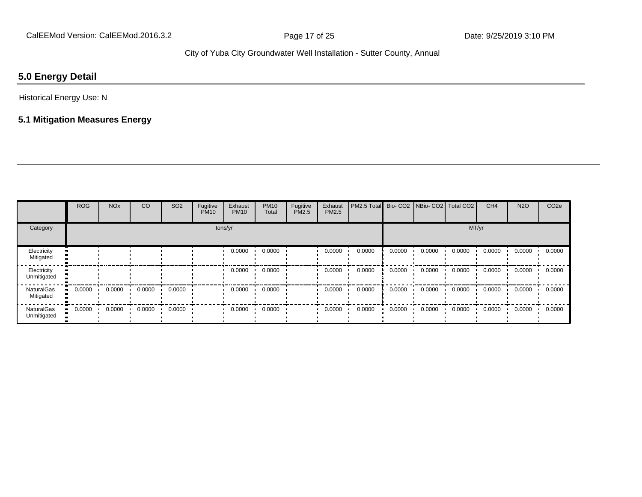## **5.0 Energy Detail**

Historical Energy Use: N

## **5.1 Mitigation Measures Energy**

|                                  | <b>ROG</b> | <b>NO<sub>x</sub></b> | CO     | SO <sub>2</sub> | Fugitive<br><b>PM10</b> | Exhaust<br><b>PM10</b> | <b>PM10</b><br>Total | Fugitive<br>PM2.5 | Exhaust<br>PM2.5 | PM2.5 Total Bio- CO2 NBio- CO2 Total CO2 |        |        |        | CH <sub>4</sub> | <b>N2O</b> | CO <sub>2e</sub> |
|----------------------------------|------------|-----------------------|--------|-----------------|-------------------------|------------------------|----------------------|-------------------|------------------|------------------------------------------|--------|--------|--------|-----------------|------------|------------------|
| Category                         |            |                       |        |                 | tons/yr                 |                        |                      |                   |                  |                                          |        |        | MT/yr  |                 |            |                  |
| Electricity<br>Mitigated         |            |                       |        |                 |                         | 0.0000                 | 0.0000               |                   | 0.0000           | 0.0000                                   | 0.0000 | 0.0000 | 0.0000 | 0.0000          | 0.0000     | 0.0000           |
| Electricity<br>Unmitigated       |            |                       |        |                 |                         | 0.0000                 | 0.0000               |                   | 0.0000           | 0.0000                                   | 0.0000 | 0.0000 | 0.0000 | 0.0000          | 0.0000     | 0.0000           |
| <b>NaturalGas</b><br>Mitigated   | 0.0000     | 0.0000                | 0.0000 | 0.0000          |                         | 0.0000                 | 0.0000               |                   | 0.0000           | 0.0000                                   | 0.0000 | 0.0000 | 0.0000 | 0.0000          | 0.0000     | 0.0000           |
| <b>NaturalGas</b><br>Unmitigated | 0.0000     | 0.0000                | 0.0000 | 0.0000          |                         | 0.0000                 | 0.0000               |                   | 0.0000           | 0.0000                                   | 0.0000 | 0.0000 | 0.0000 | 0.0000          | 0.0000     | 0.0000           |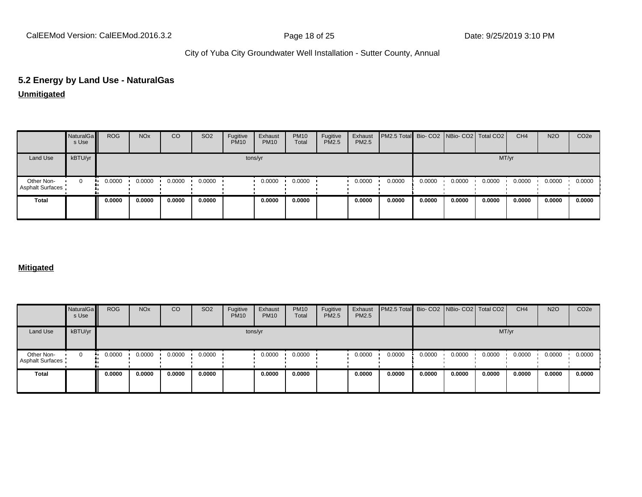# **5.2 Energy by Land Use - NaturalGas**

### **Unmitigated**

|                                       | NaturalGa<br>s Use | <b>ROG</b> | <b>NO<sub>x</sub></b> | CO     | SO <sub>2</sub> | Fugitive<br><b>PM10</b> | Exhaust<br><b>PM10</b> | <b>PM10</b><br>Total | Fugitive<br>PM2.5 | Exhaust<br>PM2.5 | PM2.5 Total Bio- CO2 NBio- CO2 Total CO2 |        |        |        | CH <sub>4</sub> | <b>N2O</b> | CO <sub>2e</sub> |
|---------------------------------------|--------------------|------------|-----------------------|--------|-----------------|-------------------------|------------------------|----------------------|-------------------|------------------|------------------------------------------|--------|--------|--------|-----------------|------------|------------------|
| Land Use                              | kBTU/yr            |            |                       |        |                 |                         | tons/yr                |                      |                   |                  |                                          |        |        | MT/yr  |                 |            |                  |
| Other Non-<br><b>Asphalt Surfaces</b> | $\mathbf{0}$       | 0.0000     | 0.0000                | 0.0000 | 0.0000          |                         | 0.0000                 | 0.0000               |                   | 0.0000           | 0.0000                                   | 0.0000 | 0.0000 | 0.0000 | 0.0000          | 0.0000     | 0.0000           |
| <b>Total</b>                          |                    | 0.0000     | 0.0000                | 0.0000 | 0.0000          |                         | 0.0000                 | 0.0000               |                   | 0.0000           | 0.0000                                   | 0.0000 | 0.0000 | 0.0000 | 0.0000          | 0.0000     | 0.0000           |

#### **Mitigated**

|                                | NaturalGa<br>s Use | <b>ROG</b> | <b>NO<sub>x</sub></b> | CO     | SO <sub>2</sub> | Fugitive<br><b>PM10</b> | Exhaust<br><b>PM10</b> | <b>PM10</b><br>Total | Fugitive<br><b>PM2.5</b> | Exhaust<br>PM2.5 | PM2.5 Total Bio- CO2 NBio- CO2   Total CO2 |        |        |        | CH <sub>4</sub> | <b>N2O</b> | CO <sub>2e</sub> |
|--------------------------------|--------------------|------------|-----------------------|--------|-----------------|-------------------------|------------------------|----------------------|--------------------------|------------------|--------------------------------------------|--------|--------|--------|-----------------|------------|------------------|
| Land Use                       | kBTU/yr            |            |                       |        |                 |                         | tons/yr                |                      |                          |                  |                                            |        |        | MT/yr  |                 |            |                  |
| Other Non-<br>Asphalt Surfaces | 0                  | 0.0000     | 0.0000                | 0.0000 | 0.0000          |                         | 0.0000                 | 0.0000               |                          | 0.0000           | 0.0000                                     | 0.0000 | 0.0000 | 0.0000 | 0.0000          | 0.0000     | 0.0000           |
| Total                          |                    | 0.0000     | 0.0000                | 0.0000 | 0.0000          |                         | 0.0000                 | 0.0000               |                          | 0.0000           | 0.0000                                     | 0.0000 | 0.0000 | 0.0000 | 0.0000          | 0.0000     | 0.0000           |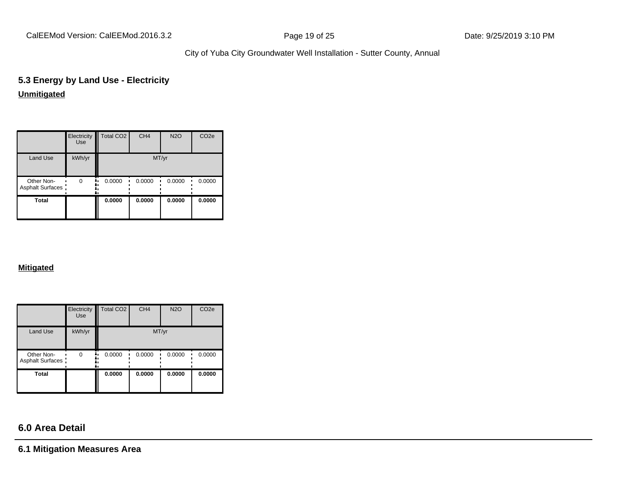CalEEMod Version: CalEEMod.2016.3.2 **Page 19 of 25** Page 19 of 25 Date: 9/25/2019 3:10 PM

City of Yuba City Groundwater Well Installation - Sutter County, Annual

## **5.3 Energy by Land Use - Electricity Unmitigated**

|                                       | Electricity<br><b>Use</b> | Total CO <sub>2</sub> | CH <sub>4</sub> | <b>N2O</b> | CO <sub>2e</sub> |
|---------------------------------------|---------------------------|-----------------------|-----------------|------------|------------------|
| Land Use                              | kWh/yr                    |                       | MT/yr           |            |                  |
| Other Non-<br><b>Asphalt Surfaces</b> | $\Omega$<br>٠.            | 0.0000<br>۰.          | 0.0000          | 0.0000     | 0.0000           |
| Total                                 |                           | 0.0000                | 0.0000          | 0.0000     | 0.0000           |

#### **Mitigated**

|                                       | Electricity<br><b>Use</b> | Total CO <sub>2</sub> | CH <sub>4</sub> | <b>N2O</b> | CO <sub>2e</sub> |
|---------------------------------------|---------------------------|-----------------------|-----------------|------------|------------------|
| <b>Land Use</b>                       | kWh/yr                    |                       | MT/yr           |            |                  |
| Other Non-<br><b>Asphalt Surfaces</b> | $\Omega$<br>٠.            | 0.0000                | 0.0000          | 0.0000     | 0.0000           |
| <b>Total</b>                          |                           | 0.0000                | 0.0000          | 0.0000     | 0.0000           |

# **6.0 Area Detail**

**6.1 Mitigation Measures Area**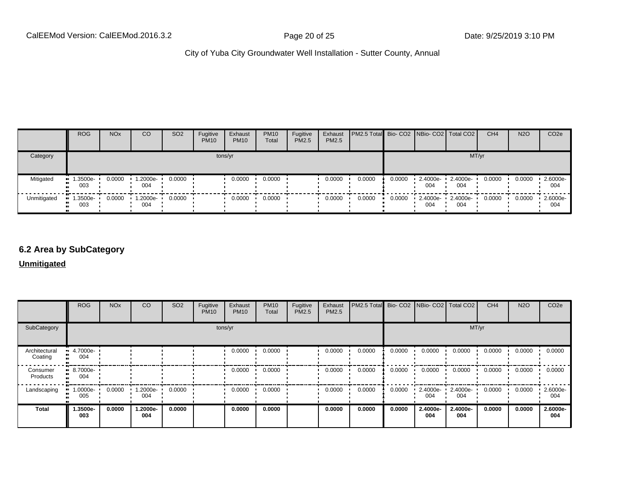|             | <b>ROG</b>      | <b>NO<sub>x</sub></b> | CO             | SO <sub>2</sub> | Fugitive<br><b>PM10</b> | Exhaust<br><b>PM10</b> | <b>PM10</b><br>Total | Fugitive<br><b>PM2.5</b> | Exhaust<br>PM2.5 | <b>PM2.5 Total</b> Bio- CO2 NBio- CO2 Total CO2 |        |                    |                 | CH <sub>4</sub> | <b>N2O</b> | CO <sub>2e</sub> |
|-------------|-----------------|-----------------------|----------------|-----------------|-------------------------|------------------------|----------------------|--------------------------|------------------|-------------------------------------------------|--------|--------------------|-----------------|-----------------|------------|------------------|
| Category    |                 |                       |                |                 |                         | tons/yr                |                      |                          |                  |                                                 |        |                    | MT/yr           |                 |            |                  |
| Mitigated   | 1.3500e-<br>003 | 0.0000                | -2000e-<br>004 | 0.0000          |                         | 0.0000                 | 0.0000               |                          | 0.0000           | 0.0000                                          | 0.0000 | 2.4000e-<br>004    | 2.4000e-<br>004 | 0.0000          | 0.0000     | 2.6000e-<br>004  |
| Unmitigated | 1.3500e-<br>003 | 0.0000                | -2000e-<br>004 | 0.0000          |                         | 0.0000                 | 0.0000               |                          | 0.0000           | 0.0000                                          | 0.0000 | $2.4000e -$<br>004 | 2.4000e-<br>004 | 0.0000          | 0.0000     | 2.6000e-<br>004  |

#### **6.2 Area by SubCategory**

**Unmitigated**

|                          | <b>ROG</b>                         | <b>NO<sub>x</sub></b> | CO              | SO <sub>2</sub> | Fugitive<br><b>PM10</b> | Exhaust<br><b>PM10</b> | <b>PM10</b><br>Total | Fugitive<br><b>PM2.5</b> | Exhaust<br>PM2.5 | PM2.5 Total Bio- CO2 NBio- CO2 Total CO2 |        |                 |                 | CH <sub>4</sub> | <b>N2O</b> | CO <sub>2</sub> e |
|--------------------------|------------------------------------|-----------------------|-----------------|-----------------|-------------------------|------------------------|----------------------|--------------------------|------------------|------------------------------------------|--------|-----------------|-----------------|-----------------|------------|-------------------|
| SubCategory              |                                    |                       |                 |                 | tons/yr                 |                        |                      |                          |                  |                                          |        |                 | MT/yr           |                 |            |                   |
| Architectural<br>Coating | $\blacksquare$ 4.7000e-<br><br>004 |                       |                 |                 |                         | 0.0000                 | 0.0000               |                          | 0.0000           | 0.0000                                   | 0.0000 | 0.0000          | 0.0000          | 0.0000          | 0.0000     | 0.0000            |
| Consumer<br>Products     | $\blacksquare$ 8.7000e-<br><br>004 |                       |                 |                 |                         | 0.0000                 | 0.0000               |                          | 0.0000           | 0.0000                                   | 0.0000 | 0.0000          | 0.0000          | 0.0000          | 0.0000     | 0.0000            |
| Landscaping              | -:0000e<br>005                     | 0.0000                | 1.2000e-<br>004 | 0.0000          |                         | 0.0000                 | 0.0000               |                          | 0.0000           | 0.0000                                   | 0.0000 | 2.4000e-<br>004 | 2.4000e-<br>004 | 0.0000          | 0.0000     | 2.6000e-<br>004   |
| <b>Total</b>             | 1.3500e-<br>003                    | 0.0000                | 1.2000e-<br>004 | 0.0000          |                         | 0.0000                 | 0.0000               |                          | 0.0000           | 0.0000                                   | 0.0000 | 2.4000e-<br>004 | 2.4000e-<br>004 | 0.0000          | 0.0000     | 2.6000e-<br>004   |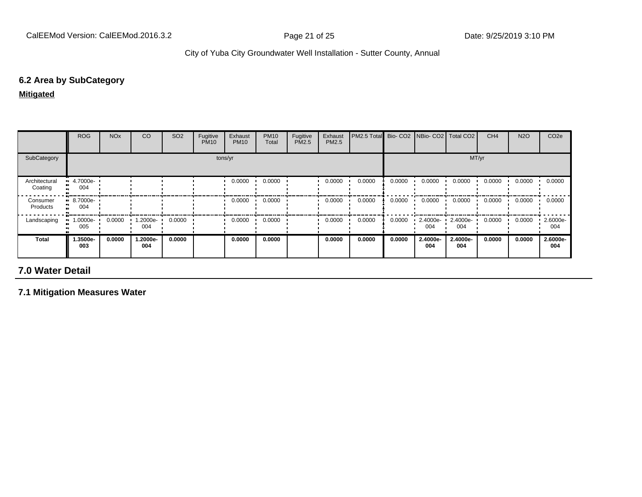## **6.2 Area by SubCategory**

**Mitigated**

|                          | <b>ROG</b>             | <b>NO<sub>x</sub></b> | CO              | SO <sub>2</sub> | Fugitive<br><b>PM10</b> | Exhaust<br><b>PM10</b> | <b>PM10</b><br>Total | Fugitive<br>PM2.5 | Exhaust<br><b>PM2.5</b> | PM2.5 Total | Bio-CO <sub>2</sub> | NBio- CO2   Total CO2 |                 | CH <sub>4</sub> | <b>N2O</b> | CO <sub>2e</sub> |
|--------------------------|------------------------|-----------------------|-----------------|-----------------|-------------------------|------------------------|----------------------|-------------------|-------------------------|-------------|---------------------|-----------------------|-----------------|-----------------|------------|------------------|
| SubCategory              |                        | tons/yr               |                 |                 |                         |                        |                      |                   |                         | MT/yr       |                     |                       |                 |                 |            |                  |
| Architectural<br>Coating | $-4.7000e-$<br><br>004 |                       |                 |                 |                         | 0.0000                 | 0.0000               |                   | 0.0000                  | 0.0000      | 0.0000              | 0.0000                | 0.0000          | 0.0000          | 0.0000     | 0.0000           |
| Consumer<br>Products     | $-8.7000e-$<br><br>004 |                       |                 |                 |                         | 0.0000                 | 0.0000               |                   | 0.0000                  | 0.0000      | 0.0000              | 0.0000                | 0.0000          | 0.0000          | 0.0000     | 0.0000           |
| Landscaping              | 1.0000e-<br>005        | 0.0000                | 1.2000e-<br>004 | 0.0000          |                         | 0.0000                 | 0.0000               |                   | 0.0000                  | 0.0000      | 0.0000              | 2.4000e-<br>004       | 2.4000e-<br>004 | 0.0000          | 0.0000     | 2.6000e-<br>004  |
| Total                    | 1.3500e-<br>003        | 0.0000                | 1.2000e-<br>004 | 0.0000          |                         | 0.0000                 | 0.0000               |                   | 0.0000                  | 0.0000      | 0.0000              | 2.4000e-<br>004       | 2.4000e-<br>004 | 0.0000          | 0.0000     | 2.6000e-<br>004  |

# **7.0 Water Detail**

**7.1 Mitigation Measures Water**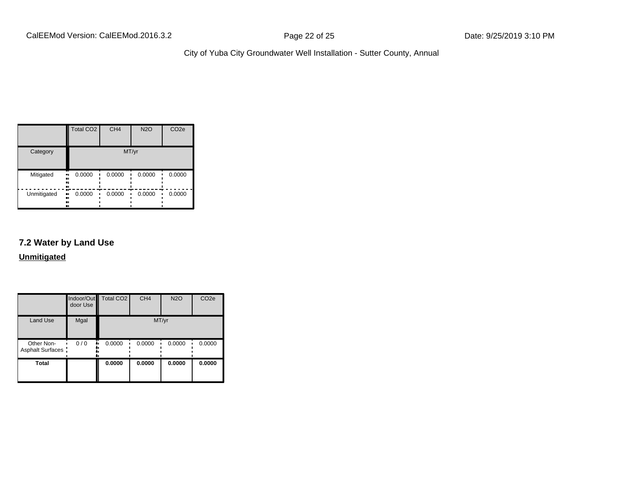|             | Total CO <sub>2</sub>   | CH <sub>4</sub> | <b>N2O</b> | CO <sub>2e</sub> |
|-------------|-------------------------|-----------------|------------|------------------|
| Category    |                         |                 | MT/yr      |                  |
| Mitigated   | 0.0000<br>ш.<br><br>    | 0.0000          | 0.0000     | 0.0000           |
| Unmitigated | 0.0000<br>ш<br><br><br> | 0.0000          | 0.0000     | 0.0000           |

## **7.2 Water by Land Use**

**Unmitigated**

|                                 | door Use | Indoor/Out Total CO2 | CH <sub>4</sub> | <b>N2O</b> | CO <sub>2e</sub> |
|---------------------------------|----------|----------------------|-----------------|------------|------------------|
| <b>Land Use</b>                 | Mgal     |                      | MT/yr           |            |                  |
| Other Non-<br>Asphalt Surfaces: | 0/0      | 0.0000               | 0.0000          | 0.0000     | 0.0000           |
| <b>Total</b>                    |          | 0.0000               | 0.0000          | 0.0000     | 0.0000           |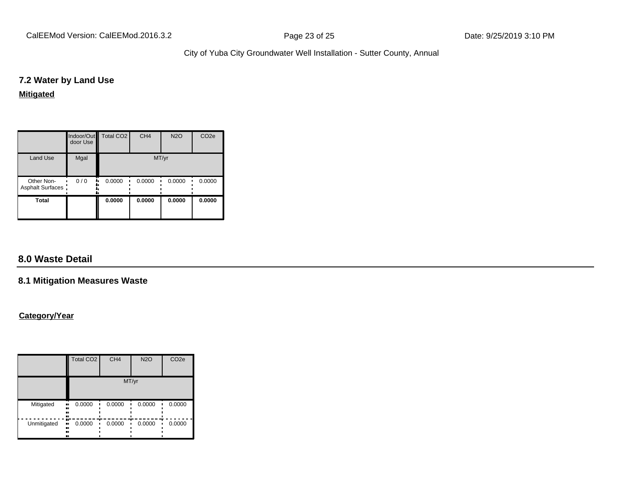CalEEMod Version: CalEEMod.2016.3.2 **Page 23 of 25** Page 23 of 25 Date: 9/25/2019 3:10 PM

City of Yuba City Groundwater Well Installation - Sutter County, Annual

#### **7.2 Water by Land Use**

#### **Mitigated**

|                                 | door Use | Indoor/Out Total CO2 | CH <sub>4</sub> | <b>N2O</b> | CO <sub>2e</sub> |
|---------------------------------|----------|----------------------|-----------------|------------|------------------|
| <b>Land Use</b>                 | Mgal     |                      | MT/yr           |            |                  |
| Other Non-<br>Asphalt Surfaces: | 0/0      | 0.0000               | 0.0000          | 0.0000     | 0.0000           |
| <b>Total</b>                    |          | 0.0000               | 0.0000          | 0.0000     | 0.0000           |

## **8.0 Waste Detail**

#### **8.1 Mitigation Measures Waste**

#### **Category/Year**

|             | <b>Total CO2</b>              | CH <sub>4</sub> | <b>N2O</b> | CO <sub>2e</sub> |  |  |  |  |  |
|-------------|-------------------------------|-----------------|------------|------------------|--|--|--|--|--|
|             |                               | MT/yr           |            |                  |  |  |  |  |  |
| Mitigated   | 0.0000<br><br><br><br>        | 0.0000          | 0.0000     | 0.0000           |  |  |  |  |  |
| Unmitigated | æ<br>0.0000<br>ш,<br><br><br> | 0.0000          | 0.0000     | 0.0000           |  |  |  |  |  |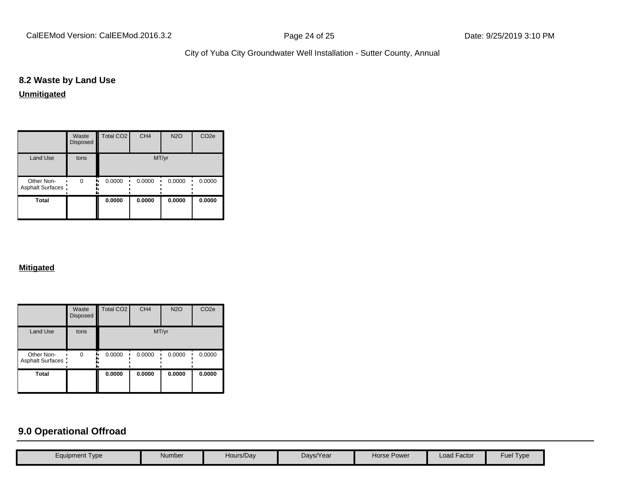CalEEMod Version: CalEEMod.2016.3.2 **Page 24 of 25** Page 24 of 25 Date: 9/25/2019 3:10 PM

City of Yuba City Groundwater Well Installation - Sutter County, Annual

## **8.2 Waste by Land Use**

**Unmitigated**

|                                 | Waste<br>Disposed | Total CO <sub>2</sub> | CH <sub>4</sub> | <b>N2O</b> | CO <sub>2e</sub> |
|---------------------------------|-------------------|-----------------------|-----------------|------------|------------------|
| <b>Land Use</b>                 | tons              |                       | MT/yr           |            |                  |
| Other Non-<br>Asphalt Surfaces: | $\Omega$          | 0.0000                | 0.0000          | 0.0000     | 0.0000           |
| Total                           |                   | 0.0000                | 0.0000          | 0.0000     | 0.0000           |

#### **Mitigated**

|                                 | Waste<br><b>Disposed</b> | <b>Total CO2</b> | CH <sub>4</sub> | <b>N2O</b> | CO <sub>2e</sub> |
|---------------------------------|--------------------------|------------------|-----------------|------------|------------------|
| <b>Land Use</b>                 | tons                     |                  |                 | MT/yr      |                  |
| Other Non-<br>Asphalt Surfaces: | $\Omega$                 | 0.0000           | 0.0000          | 0.0000     | 0.0000           |
| <b>Total</b>                    |                          | 0.0000           | 0.0000          | 0.0000     | 0.0000           |

## **9.0 Operational Offroad**

| Fuel Type<br><b>Load Factor</b><br>Hours/Day<br>Days/Year<br>Horse Power<br>Number<br>Equipment Type |  |  |  |  |
|------------------------------------------------------------------------------------------------------|--|--|--|--|
|                                                                                                      |  |  |  |  |